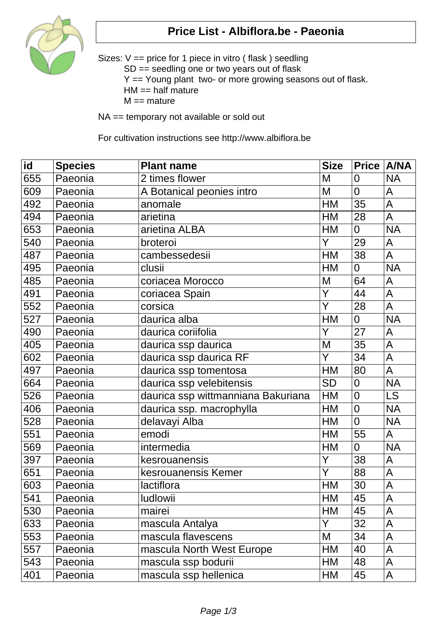

## **Price List - Albiflora.be - Paeonia**

Sizes: V == price for 1 piece in vitro ( flask ) seedling SD == seedling one or two years out of flask Y == Young plant two- or more growing seasons out of flask.  $HM == half mature$  $M ==$  mature

NA == temporary not available or sold out

For cultivation instructions see http://www.albiflora.be

| $\overline{\mathsf{id}}$ | <b>Species</b> | <b>Plant name</b>                  | <b>Size</b> | Price   A/NA   |                         |
|--------------------------|----------------|------------------------------------|-------------|----------------|-------------------------|
| 655                      | Paeonia        | 2 times flower                     | M           | $\overline{0}$ | <b>NA</b>               |
| 609                      | Paeonia        | A Botanical peonies intro          | M           | $\overline{0}$ | A                       |
| 492                      | Paeonia        | anomale                            | <b>HM</b>   | 35             | $\overline{A}$          |
| 494                      | Paeonia        | arietina                           | <b>HM</b>   | 28             | A                       |
| 653                      | Paeonia        | arietina ALBA                      | <b>HM</b>   | $\overline{0}$ | <b>NA</b>               |
| 540                      | Paeonia        | broteroi                           | Y           | 29             | A                       |
| 487                      | Paeonia        | cambessedesii                      | <b>HM</b>   | 38             | A                       |
| 495                      | Paeonia        | clusii                             | HM          | $\overline{0}$ | <b>NA</b>               |
| 485                      | Paeonia        | coriacea Morocco                   | M           | 64             | A                       |
| 491                      | Paeonia        | coriacea Spain                     | Y           | 44             | A                       |
| 552                      | Paeonia        | corsica                            | Ÿ           | 28             | A                       |
| 527                      | Paeonia        | daurica alba                       | <b>HM</b>   | $\overline{0}$ | <b>NA</b>               |
| 490                      | Paeonia        | daurica coriifolia                 | Y           | 27             | A                       |
| 405                      | Paeonia        | daurica ssp daurica                | M           | 35             | A                       |
| 602                      | Paeonia        | daurica ssp daurica RF             | Y           | 34             | $\overline{A}$          |
| 497                      | Paeonia        | daurica ssp tomentosa              | <b>HM</b>   | 80             | $\overline{\mathsf{A}}$ |
| 664                      | Paeonia        | daurica ssp velebitensis           | <b>SD</b>   | $\overline{0}$ | <b>NA</b>               |
| 526                      | Paeonia        | daurica ssp wittmanniana Bakuriana | <b>HM</b>   | $\overline{0}$ | <b>LS</b>               |
| 406                      | Paeonia        | daurica ssp. macrophylla           | <b>HM</b>   | $\overline{0}$ | <b>NA</b>               |
| 528                      | Paeonia        | delavayi Alba                      | HM          | $\overline{0}$ | <b>NA</b>               |
| 551                      | Paeonia        | emodi                              | <b>HM</b>   | 55             | A                       |
| 569                      | Paeonia        | intermedia                         | <b>HM</b>   | $\overline{0}$ | <b>NA</b>               |
| 397                      | Paeonia        | kesrouanensis                      | Y           | 38             | $\mathsf A$             |
| 651                      | Paeonia        | kesrouanensis Kemer                | Y           | 88             | A                       |
| 603                      | Paeonia        | lactiflora                         | HM          | 30             | A                       |
| 541                      | Paeonia        | <b>ludlowii</b>                    | HМ          | 45             | A                       |
| 530                      | Paeonia        | mairei                             | <b>HM</b>   | 45             | A                       |
| 633                      | Paeonia        | mascula Antalya                    | Y           | 32             | A                       |
| 553                      | Paeonia        | mascula flavescens                 | M           | 34             | A                       |
| 557                      | Paeonia        | mascula North West Europe          | <b>HM</b>   | 40             | A                       |
| 543                      | Paeonia        | mascula ssp bodurii                | HM          | 48             | A                       |
| 401                      | Paeonia        | mascula ssp hellenica              | HM          | 45             | A                       |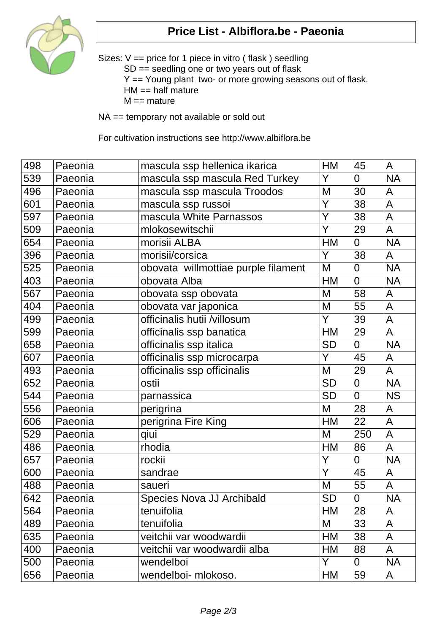

## **Price List - Albiflora.be - Paeonia**

Sizes: V == price for 1 piece in vitro ( flask ) seedling SD == seedling one or two years out of flask Y == Young plant two- or more growing seasons out of flask.  $HM == half mature$  $M ==$  mature

NA == temporary not available or sold out

For cultivation instructions see http://www.albiflora.be

| 498 | Paeonia | mascula ssp hellenica ikarica       | HM        | 45             | A                        |
|-----|---------|-------------------------------------|-----------|----------------|--------------------------|
| 539 | Paeonia | mascula ssp mascula Red Turkey      | Y         | 0              | <b>NA</b>                |
| 496 | Paeonia | mascula ssp mascula Troodos         | M         | 30             | A                        |
| 601 | Paeonia | mascula ssp russoi                  | Ÿ         | 38             | $\overline{A}$           |
| 597 | Paeonia | mascula White Parnassos             | Ý         | 38             | A                        |
| 509 | Paeonia | mlokosewitschii                     | Y         | 29             | $\mathsf{A}$             |
| 654 | Paeonia | morisii ALBA                        | HM        | $\overline{0}$ | <b>NA</b>                |
| 396 | Paeonia | morisii/corsica                     | Y         | 38             | A                        |
| 525 | Paeonia | obovata willmottiae purple filament | M         | 0              | <b>NA</b>                |
| 403 | Paeonia | obovata Alba                        | <b>HM</b> | $\overline{0}$ | <b>NA</b>                |
| 567 | Paeonia | obovata ssp obovata                 | M         | 58             | $\mathsf{A}$             |
| 404 | Paeonia | obovata var japonica                | M         | 55             | A                        |
| 499 | Paeonia | officinalis hutii /villosum         | Y         | 39             | A                        |
| 599 | Paeonia | officinalis ssp banatica            | HM        | 29             | A                        |
| 658 | Paeonia | officinalis ssp italica             | <b>SD</b> | $\overline{0}$ | <b>NA</b>                |
| 607 | Paeonia | officinalis ssp microcarpa          | Y         | 45             | A                        |
| 493 | Paeonia | officinalis ssp officinalis         | M         | 29             | A                        |
| 652 | Paeonia | ostii                               | <b>SD</b> | $\overline{0}$ | <b>NA</b>                |
| 544 | Paeonia | parnassica                          | <b>SD</b> | $\overline{0}$ | <b>NS</b>                |
| 556 | Paeonia | perigrina                           | M         | 28             | A                        |
| 606 | Paeonia | perigrina Fire King                 | HM        | 22             | A                        |
| 529 | Paeonia | qiui                                | M         | 250            | $\overline{A}$           |
| 486 | Paeonia | rhodia                              | <b>HM</b> | 86             | A                        |
| 657 | Paeonia | rockii                              | Y         | $\overline{0}$ | <b>NA</b>                |
| 600 | Paeonia | sandrae                             | Y         | 45             | A                        |
| 488 | Paeonia | saueri                              | M         | 55             | A                        |
| 642 | Paeonia | Species Nova JJ Archibald           | SD        | 0              | $\overline{\mathsf{NA}}$ |
| 564 | Paeonia | tenuifolia                          | HM        | 28             | A                        |
| 489 | Paeonia | tenuifolia                          | M         | 33             | A                        |
| 635 | Paeonia | veitchii var woodwardii             | HM        | 38             | A                        |
| 400 | Paeonia | veitchii var woodwardii alba        | HM        | 88             | A                        |
| 500 | Paeonia | wendelboi                           | Y         | 0              | <b>NA</b>                |
| 656 | Paeonia | wendelboi- mlokoso.                 | HM        | 59             | A                        |